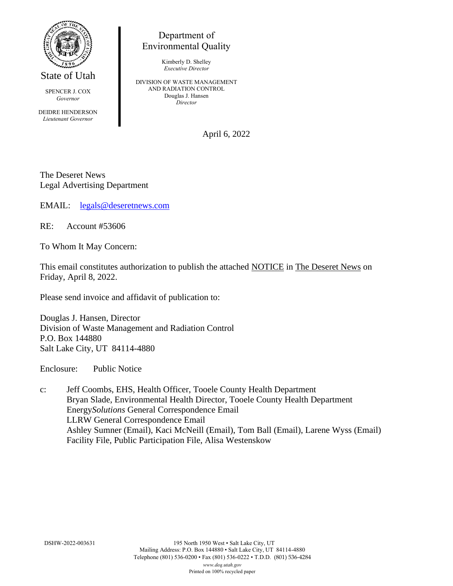

State of Utah

SPENCER J. COX *Governor*

DEIDRE HENDERSON *Lieutenant Governor*

Department of Environmental Quality

> Kimberly D. Shelley *Executive Director*

DIVISION OF WASTE MANAGEMENT AND RADIATION CONTROL Douglas J. Hansen *Director*

April 6, 2022

The Deseret News Legal Advertising Department

EMAIL: [legals@deseretnews.com](mailto:legals@deseretnews.com)

RE: Account #53606

To Whom It May Concern:

This email constitutes authorization to publish the attached NOTICE in The Deseret News on Friday, April 8, 2022.

Please send invoice and affidavit of publication to:

Douglas J. Hansen, Director Division of Waste Management and Radiation Control P.O. Box 144880 Salt Lake City, UT 84114-4880

Enclosure: Public Notice

c: Jeff Coombs, EHS, Health Officer, Tooele County Health Department Bryan Slade, Environmental Health Director, Tooele County Health Department Energy*Solutions* General Correspondence Email LLRW General Correspondence Email Ashley Sumner (Email), Kaci McNeill (Email), Tom Ball (Email), Larene Wyss (Email) Facility File, Public Participation File, Alisa Westenskow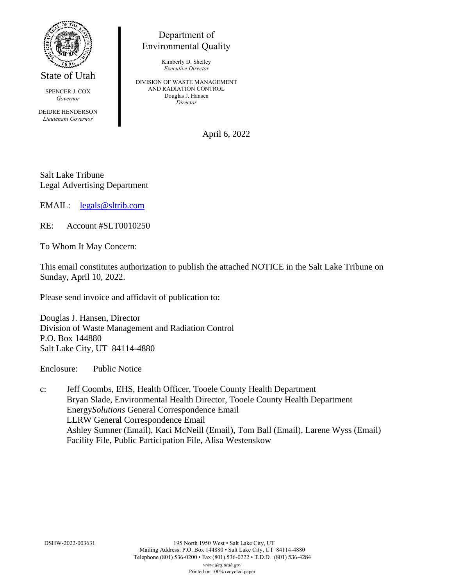

State of Utah

SPENCER J. COX *Governor*

DEIDRE HENDERSON *Lieutenant Governor*

## Department of Environmental Quality

Kimberly D. Shelley *Executive Director*

DIVISION OF WASTE MANAGEMENT AND RADIATION CONTROL Douglas J. Hansen *Director*

April 6, 2022

Salt Lake Tribune Legal Advertising Department

EMAIL: [legals@sltrib.com](mailto:legals@sltrib.com)

RE: Account #SLT0010250

To Whom It May Concern:

This email constitutes authorization to publish the attached NOTICE in the Salt Lake Tribune on Sunday, April 10, 2022.

Please send invoice and affidavit of publication to:

Douglas J. Hansen, Director Division of Waste Management and Radiation Control P.O. Box 144880 Salt Lake City, UT 84114-4880

Enclosure: Public Notice

c: Jeff Coombs, EHS, Health Officer, Tooele County Health Department Bryan Slade, Environmental Health Director, Tooele County Health Department Energy*Solutions* General Correspondence Email LLRW General Correspondence Email Ashley Sumner (Email), Kaci McNeill (Email), Tom Ball (Email), Larene Wyss (Email) Facility File, Public Participation File, Alisa Westenskow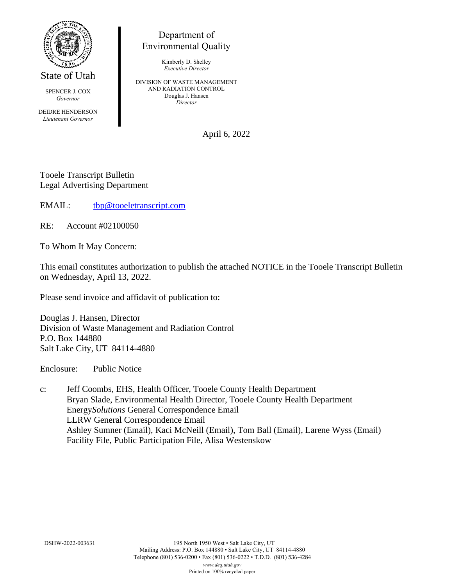

State of Utah

SPENCER J. COX *Governor*

DEIDRE HENDERSON *Lieutenant Governor*

## Department of Environmental Quality

Kimberly D. Shelley *Executive Director*

DIVISION OF WASTE MANAGEMENT AND RADIATION CONTROL Douglas J. Hansen *Director*

April 6, 2022

Tooele Transcript Bulletin Legal Advertising Department

EMAIL: [tbp@tooeletranscript.com](mailto:tbp@tooeletranscript.com)

RE: Account #02100050

To Whom It May Concern:

This email constitutes authorization to publish the attached NOTICE in the Tooele Transcript Bulletin on Wednesday, April 13, 2022.

Please send invoice and affidavit of publication to:

Douglas J. Hansen, Director Division of Waste Management and Radiation Control P.O. Box 144880 Salt Lake City, UT 84114-4880

Enclosure: Public Notice

c: Jeff Coombs, EHS, Health Officer, Tooele County Health Department Bryan Slade, Environmental Health Director, Tooele County Health Department Energy*Solutions* General Correspondence Email LLRW General Correspondence Email Ashley Sumner (Email), Kaci McNeill (Email), Tom Ball (Email), Larene Wyss (Email) Facility File, Public Participation File, Alisa Westenskow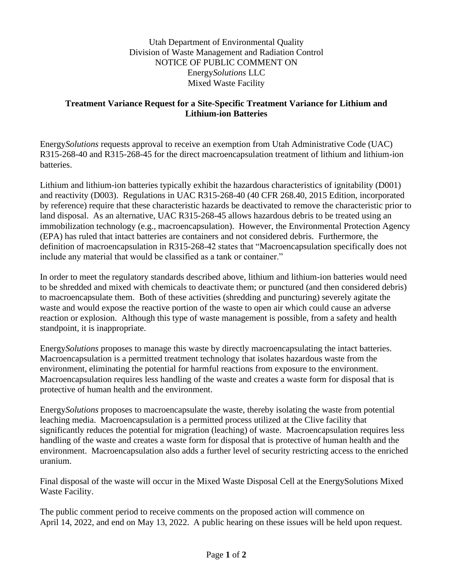Utah Department of Environmental Quality Division of Waste Management and Radiation Control NOTICE OF PUBLIC COMMENT ON Energy*Solutions* LLC Mixed Waste Facility

## **Treatment Variance Request for a Site-Specific Treatment Variance for Lithium and Lithium-ion Batteries**

Energy*Solutions* requests approval to receive an exemption from Utah Administrative Code (UAC) R315-268-40 and R315-268-45 for the direct macroencapsulation treatment of lithium and lithium-ion batteries.

Lithium and lithium-ion batteries typically exhibit the hazardous characteristics of ignitability (D001) and reactivity (D003). Regulations in UAC R315-268-40 (40 CFR 268.40, 2015 Edition, incorporated by reference) require that these characteristic hazards be deactivated to remove the characteristic prior to land disposal. As an alternative, UAC R315-268-45 allows hazardous debris to be treated using an immobilization technology (e.g., macroencapsulation). However, the Environmental Protection Agency (EPA) has ruled that intact batteries are containers and not considered debris. Furthermore, the definition of macroencapsulation in R315-268-42 states that "Macroencapsulation specifically does not include any material that would be classified as a tank or container."

In order to meet the regulatory standards described above, lithium and lithium-ion batteries would need to be shredded and mixed with chemicals to deactivate them; or punctured (and then considered debris) to macroencapsulate them. Both of these activities (shredding and puncturing) severely agitate the waste and would expose the reactive portion of the waste to open air which could cause an adverse reaction or explosion. Although this type of waste management is possible, from a safety and health standpoint, it is inappropriate.

Energy*Solutions* proposes to manage this waste by directly macroencapsulating the intact batteries. Macroencapsulation is a permitted treatment technology that isolates hazardous waste from the environment, eliminating the potential for harmful reactions from exposure to the environment. Macroencapsulation requires less handling of the waste and creates a waste form for disposal that is protective of human health and the environment.

Energy*Solutions* proposes to macroencapsulate the waste, thereby isolating the waste from potential leaching media. Macroencapsulation is a permitted process utilized at the Clive facility that significantly reduces the potential for migration (leaching) of waste. Macroencapsulation requires less handling of the waste and creates a waste form for disposal that is protective of human health and the environment. Macroencapsulation also adds a further level of security restricting access to the enriched uranium.

Final disposal of the waste will occur in the Mixed Waste Disposal Cell at the EnergySolutions Mixed Waste Facility.

The public comment period to receive comments on the proposed action will commence on April 14, 2022, and end on May 13, 2022. A public hearing on these issues will be held upon request.